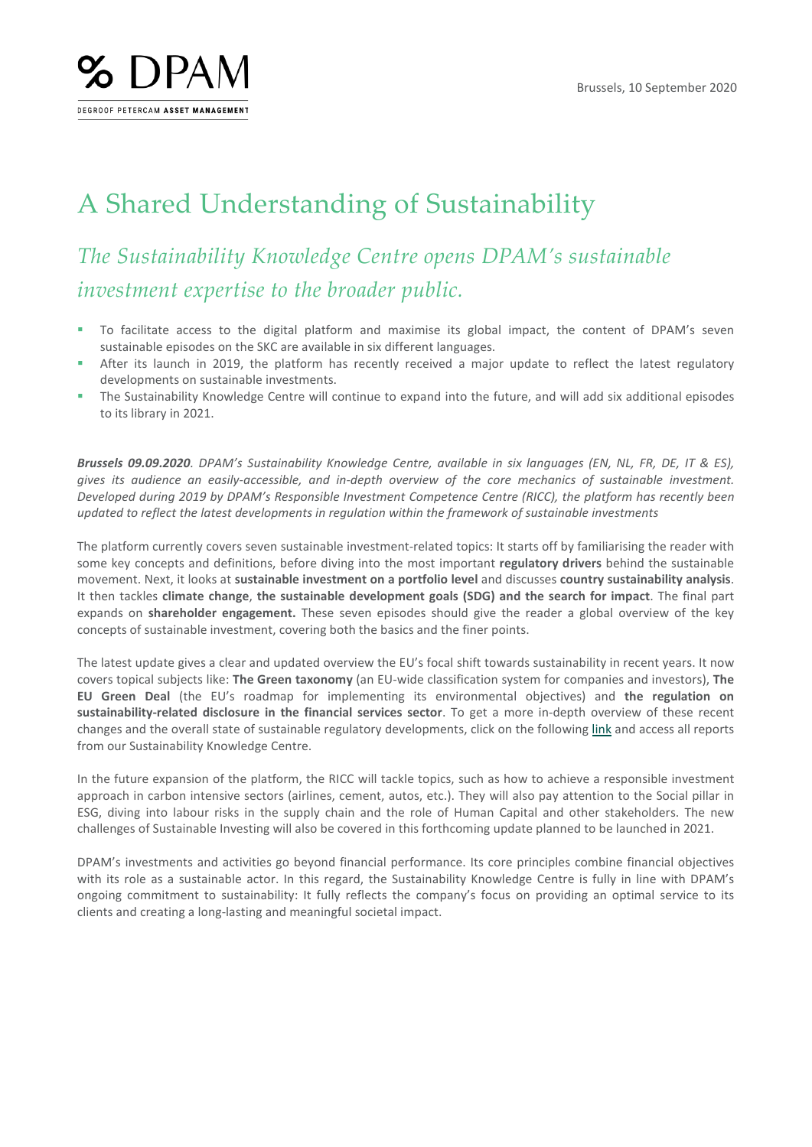

## A Shared Understanding of Sustainability

## *The Sustainability Knowledge Centre opens DPAM's sustainable investment expertise to the broader public.*

- To facilitate access to the digital platform and maximise its global impact, the content of DPAM's seven sustainable episodes on the SKC are available in six different languages.
- After its launch in 2019, the platform has recently received a major update to reflect the latest regulatory developments on sustainable investments.
- The Sustainability Knowledge Centre will continue to expand into the future, and will add six additional episodes to its library in 2021.

*Brussels 09.09.2020. DPAM's Sustainability Knowledge Centre, available in six languages (EN, NL, FR, DE, IT & ES), gives its audience an easily-accessible, and in-depth overview of the core mechanics of sustainable investment. Developed during 2019 by DPAM's Responsible Investment Competence Centre (RICC), the platform has recently been updated to reflect the latest developments in regulation within the framework of sustainable investments*

The platform currently covers seven sustainable investment-related topics: It starts off by familiarising the reader with some key concepts and definitions, before diving into the most important **regulatory drivers** behind the sustainable movement. Next, it looks at **sustainable investment on a portfolio level** and discusses **country sustainability analysis**. It then tackles **climate change**, **the sustainable development goals (SDG) and the search for impact**. The final part expands on **shareholder engagement.** These seven episodes should give the reader a global overview of the key concepts of sustainable investment, covering both the basics and the finer points.

The latest update gives a clear and updated overview the EU's focal shift towards sustainability in recent years. It now covers topical subjects like: **The Green taxonomy** (an EU-wide classification system for companies and investors), **The EU Green Deal** (the EU's roadmap for implementing its environmental objectives) and **the regulation on sustainability-related disclosure in the financial services sector**. To get a more in-depth overview of these recent changes and the overall state of sustainable regulatory developments, click on the following [link](https://www.dpam.sustainabilityknowledgecentre.com/magazine/sustainability-knowledge-centre/welcome/) and access all reports from our Sustainability Knowledge Centre.

In the future expansion of the platform, the RICC will tackle topics, such as how to achieve a responsible investment approach in carbon intensive sectors (airlines, cement, autos, etc.). They will also pay attention to the Social pillar in ESG, diving into labour risks in the supply chain and the role of Human Capital and other stakeholders. The new challenges of Sustainable Investing will also be covered in this forthcoming update planned to be launched in 2021.

DPAM's investments and activities go beyond financial performance. Its core principles combine financial objectives with its role as a sustainable actor. In this regard, the Sustainability Knowledge Centre is fully in line with DPAM's ongoing commitment to sustainability: It fully reflects the company's focus on providing an optimal service to its clients and creating a long-lasting and meaningful societal impact.